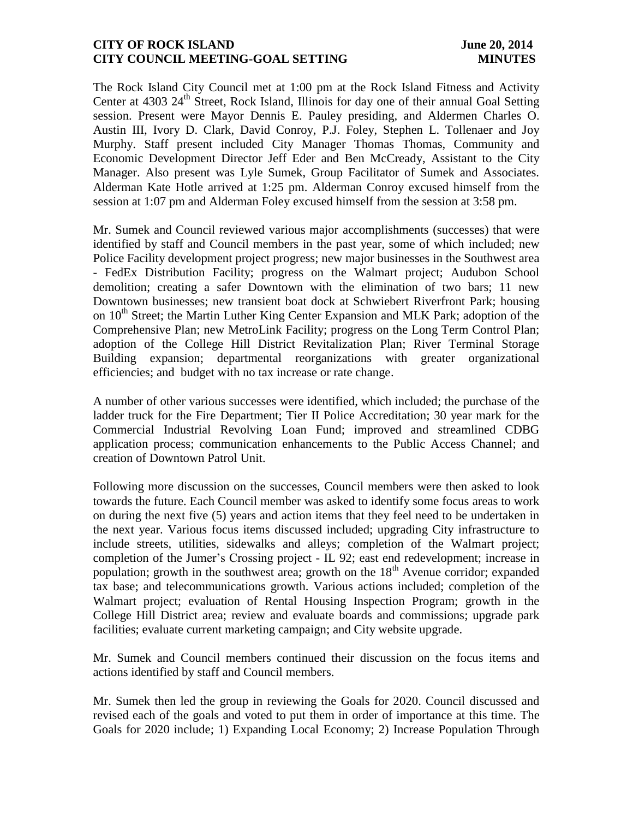## **CITY OF ROCK ISLAND June 20, 2014 CITY COUNCIL MEETING-GOAL SETTING MINUTES**

The Rock Island City Council met at 1:00 pm at the Rock Island Fitness and Activity Center at  $4303 \, 24^{\text{th}}$  Street, Rock Island, Illinois for day one of their annual Goal Setting session. Present were Mayor Dennis E. Pauley presiding, and Aldermen Charles O. Austin III, Ivory D. Clark, David Conroy, P.J. Foley, Stephen L. Tollenaer and Joy Murphy. Staff present included City Manager Thomas Thomas, Community and Economic Development Director Jeff Eder and Ben McCready, Assistant to the City Manager. Also present was Lyle Sumek, Group Facilitator of Sumek and Associates. Alderman Kate Hotle arrived at 1:25 pm. Alderman Conroy excused himself from the session at 1:07 pm and Alderman Foley excused himself from the session at 3:58 pm.

Mr. Sumek and Council reviewed various major accomplishments (successes) that were identified by staff and Council members in the past year, some of which included; new Police Facility development project progress; new major businesses in the Southwest area - FedEx Distribution Facility; progress on the Walmart project; Audubon School demolition; creating a safer Downtown with the elimination of two bars; 11 new Downtown businesses; new transient boat dock at Schwiebert Riverfront Park; housing on  $10<sup>th</sup>$  Street; the Martin Luther King Center Expansion and MLK Park; adoption of the Comprehensive Plan; new MetroLink Facility; progress on the Long Term Control Plan; adoption of the College Hill District Revitalization Plan; River Terminal Storage Building expansion; departmental reorganizations with greater organizational efficiencies; and budget with no tax increase or rate change.

A number of other various successes were identified, which included; the purchase of the ladder truck for the Fire Department; Tier II Police Accreditation; 30 year mark for the Commercial Industrial Revolving Loan Fund; improved and streamlined CDBG application process; communication enhancements to the Public Access Channel; and creation of Downtown Patrol Unit.

Following more discussion on the successes, Council members were then asked to look towards the future. Each Council member was asked to identify some focus areas to work on during the next five (5) years and action items that they feel need to be undertaken in the next year. Various focus items discussed included; upgrading City infrastructure to include streets, utilities, sidewalks and alleys; completion of the Walmart project; completion of the Jumer's Crossing project - IL 92; east end redevelopment; increase in population; growth in the southwest area; growth on the  $18<sup>th</sup>$  Avenue corridor; expanded tax base; and telecommunications growth. Various actions included; completion of the Walmart project; evaluation of Rental Housing Inspection Program; growth in the College Hill District area; review and evaluate boards and commissions; upgrade park facilities; evaluate current marketing campaign; and City website upgrade.

Mr. Sumek and Council members continued their discussion on the focus items and actions identified by staff and Council members.

Mr. Sumek then led the group in reviewing the Goals for 2020. Council discussed and revised each of the goals and voted to put them in order of importance at this time. The Goals for 2020 include; 1) Expanding Local Economy; 2) Increase Population Through